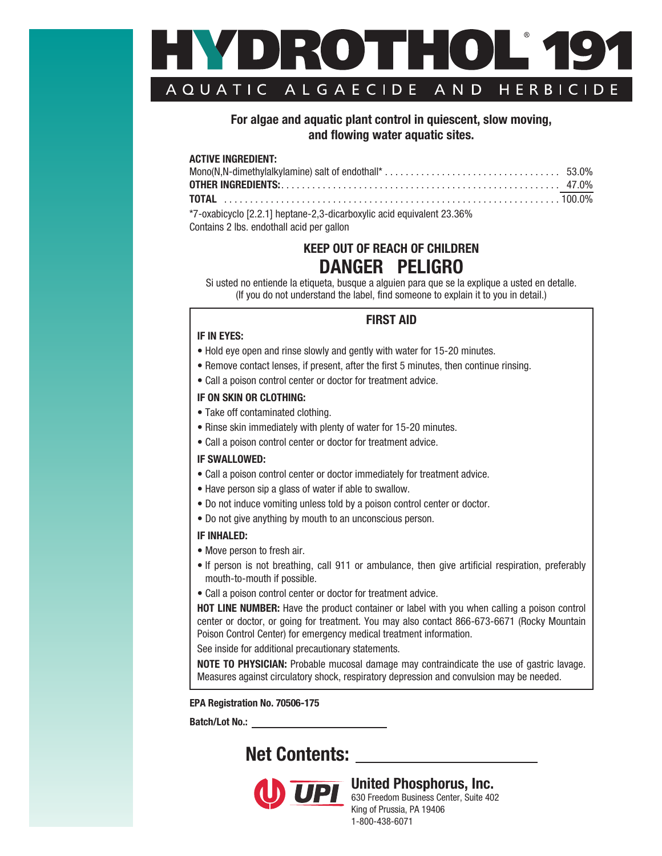

## **For algae and aquatic plant control in quiescent, slow moving, and flowing water aquatic sites.**

#### **ACTIVE INGREDIENT:**

| *7-oxabicyclo [2.2.1] heptane-2,3-dicarboxylic acid equivalent 23.36% |  |
|-----------------------------------------------------------------------|--|
| $\Omega$ antaina $\Omega$ llea ceadathail a sid nan amhan             |  |

Contains 2 lbs. endothall acid per gallon

# **KEEP OUT OF REACH OF CHILDREN DANGER PELIGRO**

Si usted no entiende la etiqueta, busque a alguien para que se la explique a usted en detalle. (If you do not understand the label, find someone to explain it to you in detail.)

#### **IF IN EYES:**

## **FIRST AID**

- Hold eye open and rinse slowly and gently with water for 15-20 minutes.
- Remove contact lenses, if present, after the first 5 minutes, then continue rinsing.
- Call a poison control center or doctor for treatment advice.

#### **IF ON SKIN OR CLOTHING:**

- Take off contaminated clothing.
- Rinse skin immediately with plenty of water for 15-20 minutes.
- Call a poison control center or doctor for treatment advice.

#### **IF SWALLOWED:**

- Call a poison control center or doctor immediately for treatment advice.
- Have person sip a glass of water if able to swallow.
- Do not induce vomiting unless told by a poison control center or doctor.
- Do not give anything by mouth to an unconscious person.

#### **IF INHALED:**

- Move person to fresh air.
- If person is not breathing, call 911 or ambulance, then give artificial respiration, preferably mouth-to-mouth if possible.
- Call a poison control center or doctor for treatment advice.

**HOT LINE NUMBER:** Have the product container or label with you when calling a poison control center or doctor, or going for treatment. You may also contact 866-673-6671 (Rocky Mountain Poison Control Center) for emergency medical treatment information.

See inside for additional precautionary statements.

**NOTE TO PHYSICIAN:** Probable mucosal damage may contraindicate the use of gastric lavage. Measures against circulatory shock, respiratory depression and convulsion may be needed.

**EPA Registration No. 70506-175**

**Batch/Lot No.:** 

# **Net Contents:**



# **United Phosphorus, Inc.**

630 Freedom Business Center, Suite 402 King of Prussia, PA 19406 1-800-438-6071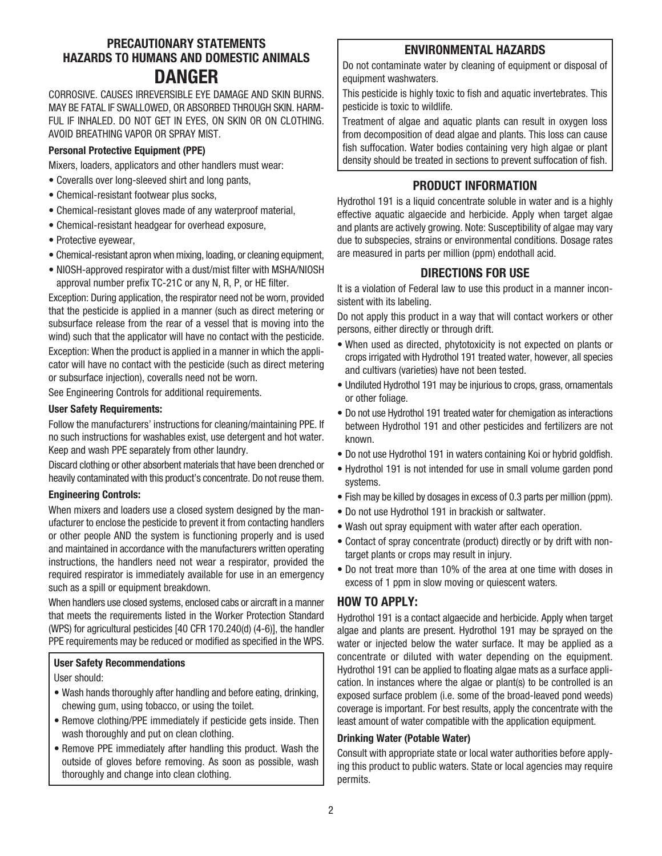## **PRECAUTIONARY STATEMENTS HAZARDS TO HUMANS AND DOMESTIC ANIMALS DANGER**

CORROSIVE. CAUSES IRREVERSIBLE EYE DAMAGE AND SKIN BURNS. MAY BE FATAL IF SWALLOWED, OR ABSORBED THROUGH SKIN. HARM-FUL IF INHALED. DO NOT GET IN EYES, ON SKIN OR ON CLOTHING. AVOID BREATHING VAPOR OR SPRAY MIST.

#### **Personal Protective Equipment (PPE)**

Mixers, loaders, applicators and other handlers must wear:

- Coveralls over long-sleeved shirt and long pants,
- Chemical-resistant footwear plus socks,
- Chemical-resistant gloves made of any waterproof material,
- Chemical-resistant headgear for overhead exposure,
- Protective eyewear,
- Chemical-resistant apron when mixing, loading, or cleaning equipment,
- NIOSH-approved respirator with a dust/mist filter with MSHA/NIOSH approval number prefix TC-21C or any N, R, P, or HE filter.

Exception: During application, the respirator need not be worn, provided that the pesticide is applied in a manner (such as direct metering or subsurface release from the rear of a vessel that is moving into the wind) such that the applicator will have no contact with the pesticide. Exception: When the product is applied in a manner in which the applicator will have no contact with the pesticide (such as direct metering or subsurface injection), coveralls need not be worn.

See Engineering Controls for additional requirements.

#### **User Safety Requirements:**

Follow the manufacturers' instructions for cleaning/maintaining PPE. If no such instructions for washables exist, use detergent and hot water. Keep and wash PPE separately from other laundry.

Discard clothing or other absorbent materials that have been drenched or heavily contaminated with this product's concentrate. Do not reuse them.

#### **Engineering Controls:**

When mixers and loaders use a closed system designed by the manufacturer to enclose the pesticide to prevent it from contacting handlers or other people AND the system is functioning properly and is used and maintained in accordance with the manufacturers written operating instructions, the handlers need not wear a respirator, provided the required respirator is immediately available for use in an emergency such as a spill or equipment breakdown.

When handlers use closed systems, enclosed cabs or aircraft in a manner that meets the requirements listed in the Worker Protection Standard (WPS) for agricultural pesticides [40 CFR 170.240(d) (4-6)], the handler PPE requirements may be reduced or modified as specified in the WPS.

#### **User Safety Recommendations**

User should:

- Wash hands thoroughly after handling and before eating, drinking, chewing gum, using tobacco, or using the toilet.
- Remove clothing/PPE immediately if pesticide gets inside. Then wash thoroughly and put on clean clothing.
- Remove PPE immediately after handling this product. Wash the outside of gloves before removing. As soon as possible, wash thoroughly and change into clean clothing.

## **ENVIRONMENTAL HAZARDS**

Do not contaminate water by cleaning of equipment or disposal of equipment washwaters.

This pesticide is highly toxic to fish and aquatic invertebrates. This pesticide is toxic to wildlife.

Treatment of algae and aquatic plants can result in oxygen loss from decomposition of dead algae and plants. This loss can cause fish suffocation. Water bodies containing very high algae or plant density should be treated in sections to prevent suffocation of fish.

## **PRODUCT INFORMATION**

Hydrothol 191 is a liquid concentrate soluble in water and is a highly effective aquatic algaecide and herbicide. Apply when target algae and plants are actively growing. Note: Susceptibility of algae may vary due to subspecies, strains or environmental conditions. Dosage rates are measured in parts per million (ppm) endothall acid.

## **DIRECTIONS FOR USE**

It is a violation of Federal law to use this product in a manner inconsistent with its labeling.

Do not apply this product in a way that will contact workers or other persons, either directly or through drift.

- When used as directed, phytotoxicity is not expected on plants or crops irrigated with Hydrothol 191 treated water, however, all species and cultivars (varieties) have not been tested.
- Undiluted Hydrothol 191 may be injurious to crops, grass, ornamentals or other foliage.
- Do not use Hydrothol 191 treated water for chemigation as interactions between Hydrothol 191 and other pesticides and fertilizers are not known.
- Do not use Hydrothol 191 in waters containing Koi or hybrid goldfish.
- Hydrothol 191 is not intended for use in small volume garden pond systems.
- Fish may be killed by dosages in excess of 0.3 parts per million (ppm).
- Do not use Hydrothol 191 in brackish or saltwater.
- Wash out spray equipment with water after each operation.
- Contact of spray concentrate (product) directly or by drift with nontarget plants or crops may result in injury.
- Do not treat more than 10% of the area at one time with doses in excess of 1 ppm in slow moving or quiescent waters.

## **HOW TO APPLY:**

Hydrothol 191 is a contact algaecide and herbicide. Apply when target algae and plants are present. Hydrothol 191 may be sprayed on the water or injected below the water surface. It may be applied as a concentrate or diluted with water depending on the equipment. Hydrothol 191 can be applied to floating algae mats as a surface application. In instances where the algae or plant(s) to be controlled is an exposed surface problem (i.e. some of the broad-leaved pond weeds) coverage is important. For best results, apply the concentrate with the least amount of water compatible with the application equipment.

#### **Drinking Water (Potable Water)**

Consult with appropriate state or local water authorities before applying this product to public waters. State or local agencies may require permits.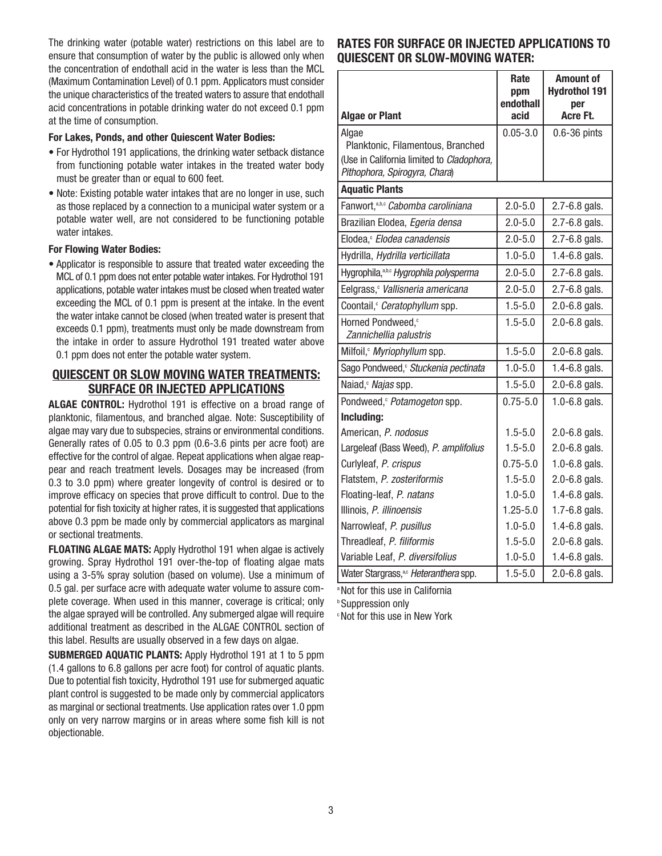The drinking water (potable water) restrictions on this label are to ensure that consumption of water by the public is allowed only when the concentration of endothall acid in the water is less than the MCL (Maximum Contamination Level) of 0.1 ppm. Applicators must consider the unique characteristics of the treated waters to assure that endothall acid concentrations in potable drinking water do not exceed 0.1 ppm at the time of consumption.

#### **For Lakes, Ponds, and other Quiescent Water Bodies:**

- For Hydrothol 191 applications, the drinking water setback distance from functioning potable water intakes in the treated water body must be greater than or equal to 600 feet.
- Note: Existing potable water intakes that are no longer in use, such as those replaced by a connection to a municipal water system or a potable water well, are not considered to be functioning potable water intakes.

#### **For Flowing Water Bodies:**

• Applicator is responsible to assure that treated water exceeding the MCL of 0.1 ppm does not enter potable water intakes. For Hydrothol 191 applications, potable water intakes must be closed when treated water exceeding the MCL of 0.1 ppm is present at the intake. In the event the water intake cannot be closed (when treated water is present that exceeds 0.1 ppm), treatments must only be made downstream from the intake in order to assure Hydrothol 191 treated water above 0.1 ppm does not enter the potable water system.

## **QUIESCENT OR SLOW MOVING WATER TREATMENTS: SURFACE OR INJECTED APPLICATIONS**

**ALGAE CONTROL:** Hydrothol 191 is effective on a broad range of planktonic, filamentous, and branched algae. Note: Susceptibility of algae may vary due to subspecies, strains or environmental conditions. Generally rates of 0.05 to 0.3 ppm (0.6-3.6 pints per acre foot) are effective for the control of algae. Repeat applications when algae reappear and reach treatment levels. Dosages may be increased (from 0.3 to 3.0 ppm) where greater longevity of control is desired or to improve efficacy on species that prove difficult to control. Due to the potential for fish toxicity at higher rates, it is suggested that applications above 0.3 ppm be made only by commercial applicators as marginal or sectional treatments.

**FLOATING ALGAE MATS:** Apply Hydrothol 191 when algae is actively growing. Spray Hydrothol 191 over-the-top of floating algae mats using a 3-5% spray solution (based on volume). Use a minimum of 0.5 gal. per surface acre with adequate water volume to assure complete coverage. When used in this manner, coverage is critical; only the algae sprayed will be controlled. Any submerged algae will require additional treatment as described in the ALGAE CONTROL section of this label. Results are usually observed in a few days on algae.

**SUBMERGED AQUATIC PLANTS:** Apply Hydrothol 191 at 1 to 5 ppm (1.4 gallons to 6.8 gallons per acre foot) for control of aquatic plants. Due to potential fish toxicity, Hydrothol 191 use for submerged aquatic plant control is suggested to be made only by commercial applicators as marginal or sectional treatments. Use application rates over 1.0 ppm only on very narrow margins or in areas where some fish kill is not objectionable.

## **RATES FOR SURFACE OR INJECTED APPLICATIONS TO QUIESCENT OR SLOW-MOVING WATER:**

| <b>Algae or Plant</b>                              | Rate<br>ppm<br>endothall<br>acid | <b>Amount of</b><br><b>Hydrothol 191</b><br>per<br>Acre Ft. |
|----------------------------------------------------|----------------------------------|-------------------------------------------------------------|
| Algae                                              | $0.05 - 3.0$                     | $0.6 - 36$ pints                                            |
| Planktonic, Filamentous, Branched                  |                                  |                                                             |
| (Use in California limited to Cladophora,          |                                  |                                                             |
| Pithophora, Spirogyra, Chara)                      |                                  |                                                             |
| <b>Aquatic Plants</b>                              |                                  |                                                             |
| Fanwort, a,b,c Cabomba caroliniana                 | $2.0 - 5.0$                      | 2.7-6.8 gals.                                               |
| Brazilian Elodea, Egeria densa                     | $2.0 - 5.0$                      | 2.7-6.8 gals.                                               |
| Elodea, <i>Elodea canadensis</i>                   | $2.0 - 5.0$                      | 2.7-6.8 gals.                                               |
| Hydrilla, Hydrilla verticillata                    | $1.0 - 5.0$                      | $1.4 - 6.8$ gals.                                           |
| Hygrophila, <sup>a,b,c</sup> Hygrophila polysperma | $2.0 - 5.0$                      | 2.7-6.8 gals.                                               |
| Eelgrass, Vallisneria americana                    | $2.0 - 5.0$                      | 2.7-6.8 gals.                                               |
| Coontail, Ceratophyllum spp.                       | $1.5 - 5.0$                      | 2.0-6.8 gals.                                               |
| Horned Pondweed, <sup>c</sup>                      | $1.5 - 5.0$                      | 2.0-6.8 gals.                                               |
| Zannichellia palustris                             |                                  |                                                             |
| Milfoil, Myriophyllum spp.                         | $1.5 - 5.0$                      | 2.0-6.8 gals.                                               |
| Sago Pondweed, Stuckenia pectinata                 | $1.0 - 5.0$                      | 1.4-6.8 gals.                                               |
| Naiad, <i>Najas</i> spp.                           | $1.5 - 5.0$                      | 2.0-6.8 gals.                                               |
| Pondweed, <i>Potamogeton</i> spp.                  | $0.75 - 5.0$                     | $1.0 - 6.8$ gals.                                           |
| Including:                                         |                                  |                                                             |
| American, P. nodosus                               | $1.5 - 5.0$                      | 2.0-6.8 gals.                                               |
| Largeleaf (Bass Weed), P. amplifolius              | $1.5 - 5.0$                      | 2.0-6.8 gals.                                               |
| Curlyleaf, P. crispus                              | $0.75 - 5.0$                     | $1.0 - 6.8$ gals.                                           |
| Flatstem, P. zosteriformis                         | $1.5 - 5.0$                      | 2.0-6.8 gals.                                               |
| Floating-leaf, P. natans                           | $1.0 - 5.0$                      | $1.4 - 6.8$ gals.                                           |
| Illinois, P. illinoensis                           | $1.25 - 5.0$                     | 1.7-6.8 gals.                                               |
| Narrowleaf, P. pusillus                            | $1.0 - 5.0$                      | $1.4 - 6.8$ gals.                                           |
| Threadleaf, P. filiformis                          | $1.5 - 5.0$                      | 2.0-6.8 gals.                                               |
| Variable Leaf, P. diversifolius                    | $1.0 - 5.0$                      | 1.4-6.8 gals.                                               |
| Water Stargrass, <sup>a,c</sup> Heteranthera spp.  | $1.5 - 5.0$                      | 2.0-6.8 gals.                                               |

a Not for this use in California

**b Suppression only** 

c Not for this use in New York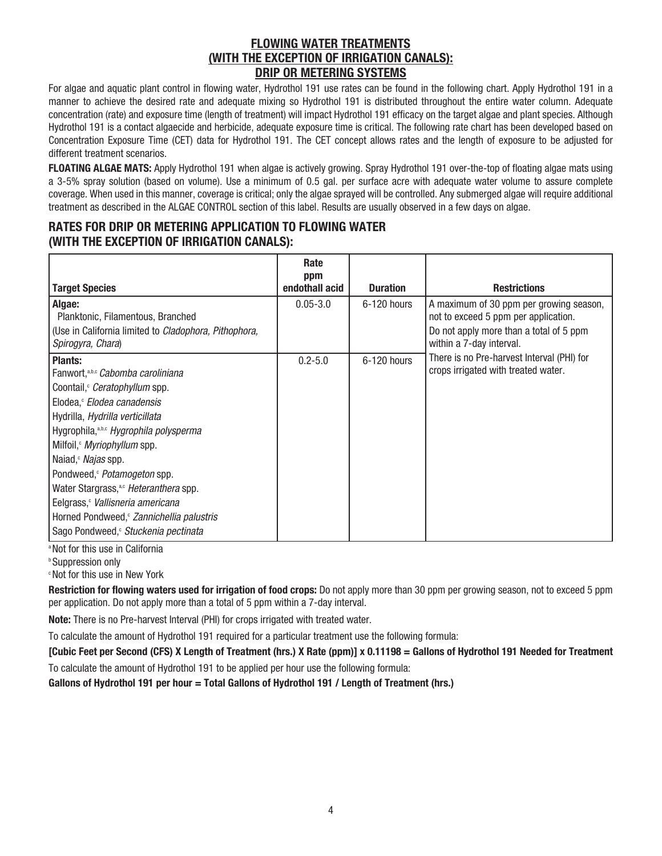## **FLOWING WATER TREATMENTS (WITH THE EXCEPTION OF IRRIGATION CANALS): DRIP OR METERING SYSTEMS**

For algae and aquatic plant control in flowing water, Hydrothol 191 use rates can be found in the following chart. Apply Hydrothol 191 in a manner to achieve the desired rate and adequate mixing so Hydrothol 191 is distributed throughout the entire water column. Adequate concentration (rate) and exposure time (length of treatment) will impact Hydrothol 191 efficacy on the target algae and plant species. Although Hydrothol 191 is a contact algaecide and herbicide, adequate exposure time is critical. The following rate chart has been developed based on Concentration Exposure Time (CET) data for Hydrothol 191. The CET concept allows rates and the length of exposure to be adjusted for different treatment scenarios.

**FLOATING ALGAE MATS:** Apply Hydrothol 191 when algae is actively growing. Spray Hydrothol 191 over-the-top of floating algae mats using a 3-5% spray solution (based on volume). Use a minimum of 0.5 gal. per surface acre with adequate water volume to assure complete coverage. When used in this manner, coverage is critical; only the algae sprayed will be controlled. Any submerged algae will require additional treatment as described in the ALGAE CONTROL section of this label. Results are usually observed in a few days on algae.

## **RATES FOR DRIP OR METERING APPLICATION TO FLOWING WATER (WITH THE EXCEPTION OF IRRIGATION CANALS):**

|                                                                            | Rate<br>ppm    |                 |                                                                                   |
|----------------------------------------------------------------------------|----------------|-----------------|-----------------------------------------------------------------------------------|
| <b>Target Species</b>                                                      | endothall acid | <b>Duration</b> | <b>Restrictions</b>                                                               |
| Algae:<br>Planktonic, Filamentous, Branched                                | $0.05 - 3.0$   | $6-120$ hours   | A maximum of 30 ppm per growing season,<br>not to exceed 5 ppm per application.   |
| (Use in California limited to Cladophora, Pithophora,<br>Spirogyra, Chara) |                |                 | Do not apply more than a total of 5 ppm<br>within a 7-day interval.               |
| <b>Plants:</b><br>Fanwort, a,b,c Cabomba caroliniana                       | $0.2 - 5.0$    | 6-120 hours     | There is no Pre-harvest Interval (PHI) for<br>crops irrigated with treated water. |
| Coontail, <i>Ceratophyllum</i> spp.                                        |                |                 |                                                                                   |
| Elodea, <i>Elodea canadensis</i>                                           |                |                 |                                                                                   |
| Hydrilla, Hydrilla verticillata                                            |                |                 |                                                                                   |
| Hygrophila, <sup>a,b,c</sup> Hygrophila polysperma                         |                |                 |                                                                                   |
| Milfoil, Myriophyllum spp.                                                 |                |                 |                                                                                   |
| Naiad, Majas spp.                                                          |                |                 |                                                                                   |
| Pondweed, <i>Potamogeton</i> spp.                                          |                |                 |                                                                                   |
| Water Stargrass, <sup>a,c</sup> Heteranthera spp.                          |                |                 |                                                                                   |
| Eelgrass, Vallisneria americana                                            |                |                 |                                                                                   |
| Horned Pondweed, <sup>c</sup> Zannichellia palustris                       |                |                 |                                                                                   |
| Sago Pondweed, Stuckenia pectinata                                         |                |                 |                                                                                   |

<sup>a</sup> Not for this use in California

**Suppression only** 

c Not for this use in New York

**Restriction for flowing waters used for irrigation of food crops:** Do not apply more than 30 ppm per growing season, not to exceed 5 ppm per application. Do not apply more than a total of 5 ppm within a 7-day interval.

**Note:** There is no Pre-harvest Interval (PHI) for crops irrigated with treated water.

To calculate the amount of Hydrothol 191 required for a particular treatment use the following formula:

**[Cubic Feet per Second (CFS) X Length of Treatment (hrs.) X Rate (ppm)] x 0.11198 = Gallons of Hydrothol 191 Needed for Treatment**

To calculate the amount of Hydrothol 191 to be applied per hour use the following formula:

**Gallons of Hydrothol 191 per hour = Total Gallons of Hydrothol 191 / Length of Treatment (hrs.)**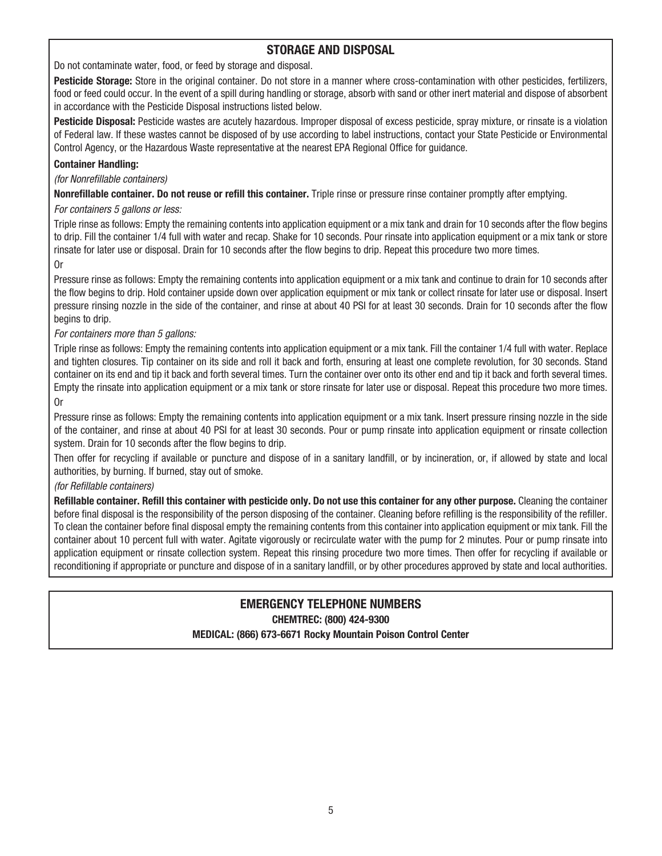## **STORAGE AND DISPOSAL**

Do not contaminate water, food, or feed by storage and disposal.

**Pesticide Storage:** Store in the original container. Do not store in a manner where cross-contamination with other pesticides, fertilizers, food or feed could occur. In the event of a spill during handling or storage, absorb with sand or other inert material and dispose of absorbent in accordance with the Pesticide Disposal instructions listed below.

**Pesticide Disposal:** Pesticide wastes are acutely hazardous. Improper disposal of excess pesticide, spray mixture, or rinsate is a violation of Federal law. If these wastes cannot be disposed of by use according to label instructions, contact your State Pesticide or Environmental Control Agency, or the Hazardous Waste representative at the nearest EPA Regional Office for guidance.

## **Container Handling:**

(for Nonrefillable containers)

**Nonrefillable container. Do not reuse or refill this container.** Triple rinse or pressure rinse container promptly after emptying.

## For containers 5 gallons or less:

Triple rinse as follows: Empty the remaining contents into application equipment or a mix tank and drain for 10 seconds after the flow begins to drip. Fill the container 1/4 full with water and recap. Shake for 10 seconds. Pour rinsate into application equipment or a mix tank or store rinsate for later use or disposal. Drain for 10 seconds after the flow begins to drip. Repeat this procedure two more times.

Or

Pressure rinse as follows: Empty the remaining contents into application equipment or a mix tank and continue to drain for 10 seconds after the flow begins to drip. Hold container upside down over application equipment or mix tank or collect rinsate for later use or disposal. Insert pressure rinsing nozzle in the side of the container, and rinse at about 40 PSI for at least 30 seconds. Drain for 10 seconds after the flow begins to drip.

## For containers more than 5 gallons:

Triple rinse as follows: Empty the remaining contents into application equipment or a mix tank. Fill the container 1/4 full with water. Replace and tighten closures. Tip container on its side and roll it back and forth, ensuring at least one complete revolution, for 30 seconds. Stand container on its end and tip it back and forth several times. Turn the container over onto its other end and tip it back and forth several times. Empty the rinsate into application equipment or a mix tank or store rinsate for later use or disposal. Repeat this procedure two more times. Or

Pressure rinse as follows: Empty the remaining contents into application equipment or a mix tank. Insert pressure rinsing nozzle in the side of the container, and rinse at about 40 PSI for at least 30 seconds. Pour or pump rinsate into application equipment or rinsate collection system. Drain for 10 seconds after the flow begins to drip.

Then offer for recycling if available or puncture and dispose of in a sanitary landfill, or by incineration, or, if allowed by state and local authorities, by burning. If burned, stay out of smoke.

## (for Refillable containers)

**Refillable container. Refill this container with pesticide only. Do not use this container for any other purpose.** Cleaning the container before final disposal is the responsibility of the person disposing of the container. Cleaning before refilling is the responsibility of the refiller. To clean the container before final disposal empty the remaining contents from this container into application equipment or mix tank. Fill the container about 10 percent full with water. Agitate vigorously or recirculate water with the pump for 2 minutes. Pour or pump rinsate into application equipment or rinsate collection system. Repeat this rinsing procedure two more times. Then offer for recycling if available or reconditioning if appropriate or puncture and dispose of in a sanitary landfill, or by other procedures approved by state and local authorities.

## **EMERGENCY TELEPHONE NUMBERS CHEMTREC: (800) 424-9300 MEDICAL: (866) 673-6671 Rocky Mountain Poison Control Center**